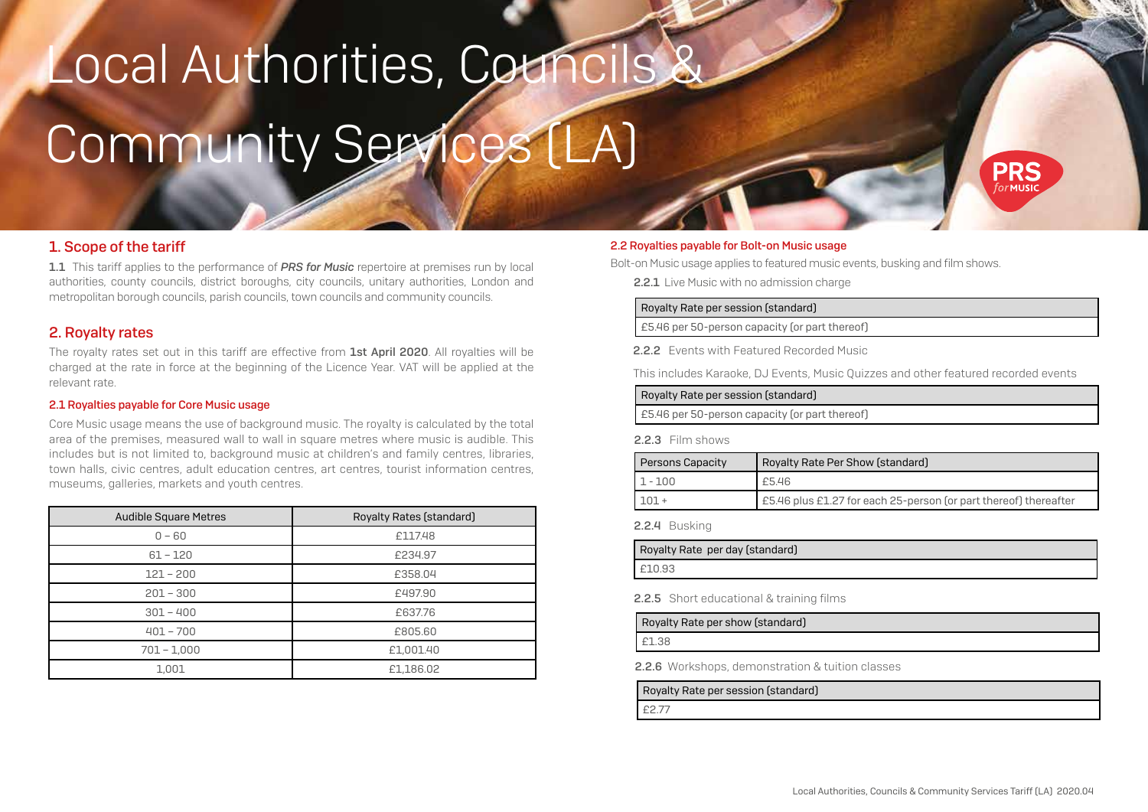# Local Authorities, Councils Community Services (LA)



1.1 This tariff applies to the performance of **PRS for Music** repertoire at premises run by local authorities, county councils, district boroughs, city councils, unitary authorities, London and metropolitan borough councils, parish councils, town councils and community councils.

## 2. Royalty rates

The royalty rates set out in this tariff are effective from 1st April 2020. All royalties will be charged at the rate in force at the beginning of the Licence Year. VAT will be applied at the relevant rate.

#### 2.1 Royalties payable for Core Music usage

Core Music usage means the use of background music. The royalty is calculated by the total area of the premises, measured wall to wall in square metres where music is audible. This includes but is not limited to, background music at children's and family centres, libraries, town halls, civic centres, adult education centres, art centres, tourist information centres, museums, galleries, markets and youth centres.

| <b>Audible Square Metres</b> | Royalty Rates (standard) |
|------------------------------|--------------------------|
| $0 - 60$                     | £117.48                  |
| $61 - 120$                   | £234.97                  |
| $121 - 200$                  | £358.04                  |
| $201 - 300$                  | £497.90                  |
| $301 - 400$                  | £637.76                  |
| $401 - 700$                  | £805.60                  |
| $701 - 1,000$                | £1,001.40                |
| 1,001                        | £1,186.02                |

#### 2.2 Royalties payable for Bolt-on Music usage

Bolt-on Music usage applies to featured music events, busking and film shows.

2.2.1 Live Music with no admission charge

#### Royalty Rate per session (standard)

£5.46 per 50-person capacity (or part thereof)

2.2.2 Events with Featured Recorded Music

This includes Karaoke, DJ Events, Music Quizzes and other featured recorded events

| Royalty Rate per session (standard) |  |
|-------------------------------------|--|
|-------------------------------------|--|

£5.46 per 50-person capacity (or part thereof)

#### 2.2.3 Film shows

| Persons Capacity | Royalty Rate Per Show (standard)                                 |
|------------------|------------------------------------------------------------------|
| $1 - 100$        | £5.46                                                            |
|                  | E5.46 plus £1.27 for each 25-person (or part thereof) thereafter |

#### 2.2.4 Busking

| Royalty Rate per day (standard) |
|---------------------------------|
| £10.93                          |

2.2.5 Short educational & training films

#### Royalty Rate per show (standard)

£1.38

2.2.6 Workshops, demonstration & tuition classes

Royalty Rate per session (standard)

£2.77

PRS  $\alpha$  $\epsilon$ MLISIC